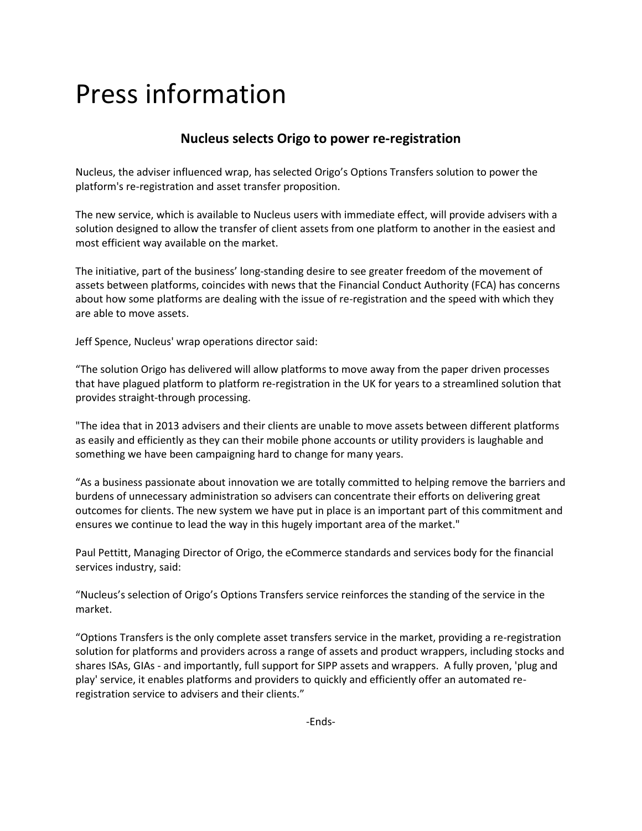# Press information

# **Nucleus selects Origo to power re-registration**

Nucleus, the adviser influenced wrap, has selected Origo's Options Transfers solution to power the platform's re-registration and asset transfer proposition.

The new service, which is available to Nucleus users with immediate effect, will provide advisers with a solution designed to allow the transfer of client assets from one platform to another in the easiest and most efficient way available on the market.

The initiative, part of the business' long-standing desire to see greater freedom of the movement of assets between platforms, coincides with news that the Financial Conduct Authority (FCA) has concerns about how some platforms are dealing with the issue of re-registration and the speed with which they are able to move assets.

Jeff Spence, Nucleus' wrap operations director said:

"The solution Origo has delivered will allow platforms to move away from the paper driven processes that have plagued platform to platform re-registration in the UK for years to a streamlined solution that provides straight-through processing.

"The idea that in 2013 advisers and their clients are unable to move assets between different platforms as easily and efficiently as they can their mobile phone accounts or utility providers is laughable and something we have been campaigning hard to change for many years.

"As a business passionate about innovation we are totally committed to helping remove the barriers and burdens of unnecessary administration so advisers can concentrate their efforts on delivering great outcomes for clients. The new system we have put in place is an important part of this commitment and ensures we continue to lead the way in this hugely important area of the market."

Paul Pettitt, Managing Director of Origo, the eCommerce standards and services body for the financial services industry, said:

"Nucleus's selection of Origo's Options Transfers service reinforces the standing of the service in the market.

"Options Transfers is the only complete asset transfers service in the market, providing a re-registration solution for platforms and providers across a range of assets and product wrappers, including stocks and shares ISAs, GIAs - and importantly, full support for SIPP assets and wrappers. A fully proven, 'plug and play' service, it enables platforms and providers to quickly and efficiently offer an automated reregistration service to advisers and their clients."